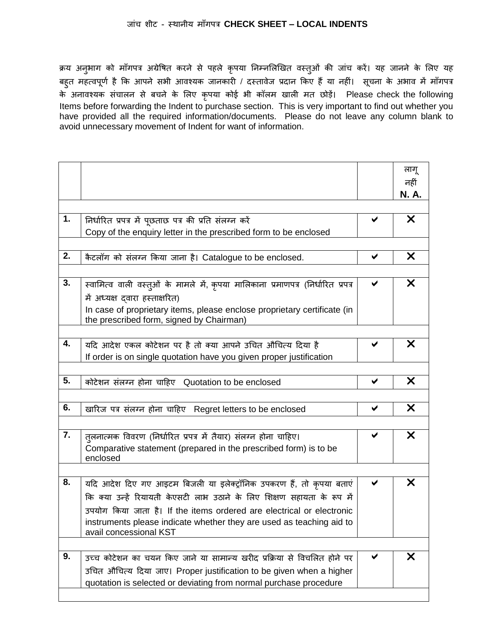क्रय अनुभाग को माँगपत्र अग्रेषित करने से पहले कृपया निम्नलिखित वस्तुओं की जांच करें। यह जानने के लिए यह बहुत महत्वपूर्ण है कि आपने सभी आवश्यक जानकारी / दस्तावेज प्रदान किए हैं या नहीं। सूचना के अभाव में माँगपत्र के अनावश्यक संचालन से बचने के लिए कृपया कोई भी कॉलम खाली मत छोड़ें। Please check the following Items before forwarding the Indent to purchase section. This is very important to find out whether you have provided all the required information/documents. Please do not leave any column blank to avoid unnecessary movement of Indent for want of information.

|    |                                                                                   |   | लागू  |
|----|-----------------------------------------------------------------------------------|---|-------|
|    |                                                                                   |   | नहीं  |
|    |                                                                                   |   | N. A. |
|    |                                                                                   |   |       |
| 1. | निर्धारित प्रपत्र में पूछताछ पत्र की प्रति संलग्न करें                            |   | X     |
|    | Copy of the enquiry letter in the prescribed form to be enclosed                  |   |       |
|    |                                                                                   |   |       |
| 2. | कैटलॉग को संलग्न किया जाना है। Catalogue to be enclosed.                          | ✔ | X     |
|    |                                                                                   |   |       |
| 3. | स्वामित्व वाली वस्त्ओं के मामले में, कृपया मालिकाना प्रमाणपत्र (निर्धारित प्रपत्र | ✔ | X     |
|    | में अध्यक्ष दवारा हस्ताक्षरित)                                                    |   |       |
|    | In case of proprietary items, please enclose proprietary certificate (in          |   |       |
|    | the prescribed form, signed by Chairman)                                          |   |       |
|    |                                                                                   |   |       |
| 4. | यदि आदेश एकल कोटेशन पर है तो क्या आपने उचित औचित्य दिया है                        |   | X     |
|    | If order is on single quotation have you given proper justification               |   |       |
|    |                                                                                   |   |       |
| 5. | कोटेशन संलग्न होना चाहिए Quotation to be enclosed                                 | ✔ | X     |
|    |                                                                                   |   |       |
| 6. | खारिज पत्र संलग्न होना चाहिए Regret letters to be enclosed                        | ✔ | X     |
|    |                                                                                   |   |       |
| 7. | त्लनात्मक विवरण (निर्धारित प्रपत्र में तैयार) संलग्न होना चाहिए।                  |   | X     |
|    | Comparative statement (prepared in the prescribed form) is to be                  |   |       |
|    | enclosed                                                                          |   |       |
| 8. |                                                                                   |   | X     |
|    | यदि आदेश दिए गए आइटम बिजली या इलेक्ट्रॉनिक उपकरण हैं, तो कृपया बताएं              | ✔ |       |
|    | कि क्या उन्हें रियायती केएसटी लाभ उठाने के लिए शिक्षण सहायता के रूप में           |   |       |
|    | उपयोग किया जाता है। If the items ordered are electrical or electronic             |   |       |
|    | instruments please indicate whether they are used as teaching aid to              |   |       |
|    | avail concessional KST                                                            |   |       |
| 9. | उच्च कोटेशन का चयन किए जाने या सामान्य खरीद प्रक्रिया से विचलित होने पर           |   | X     |
|    | उचित औचित्य दिया जाए। Proper justification to be given when a higher              |   |       |
|    | quotation is selected or deviating from normal purchase procedure                 |   |       |
|    |                                                                                   |   |       |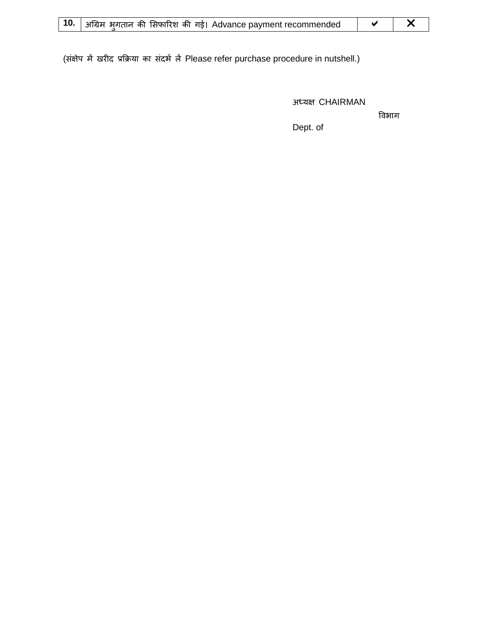|  | 10.   अग्रिम भुगतान की सिफारिश की गई। Advance payment recommended |  |  |
|--|-------------------------------------------------------------------|--|--|
|--|-------------------------------------------------------------------|--|--|

(संक्षेप में खरीद प्रक्रिया का संदर्भ लें Please refer purchase procedure in nutshell.)

अध्यक्ष CHAIRMAN

विभाग

Dept. of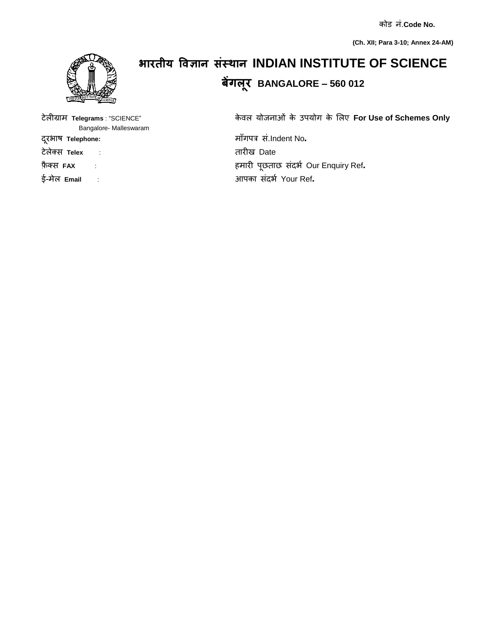कोड नां.**Code No.**

**(Ch. XII; Para 3-10; Annex 24-AM)**



## **भारतीय विज्ञान संस्थान INDIAN INSTITUTE OF SCIENCE बेंगलरू BANGALORE – 560 012**

टेलीग्र म **Telegrams** : "SCIENCE" के वल योजन ओां के उपयोग के ललए **For Use of Schemes Only**

दरूभ ि **Telephone:** म ाँगपत्र सां.Indent No*.*  फ़ै क्स **FAX** : हम री पूछत छ सांदभण Our Enquiry Ref*.*  ई-मेल **Email** : आपक सांदभण Your Ref*.* 

Bangalore- Malleswaram

टेलेक्स **Telex** : त रीि Date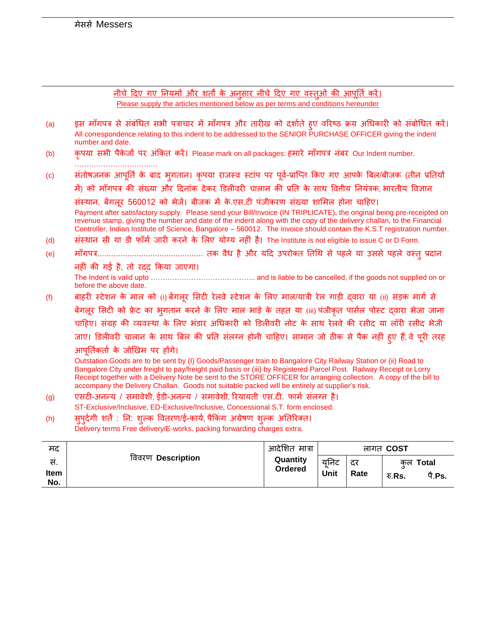$\ddot{\phantom{0}}$ 

<u>नीचे दिए गए नियमों और शर्तों के अनुसार नीचे दिए गए वस्तुओं की आपूर्ति करें।</u> Please supply the articles mentioned below as per terms and conditions hereunder

| (a) | इस मागपत्र से संबंधित सभी पत्राचार में मागपत्र और तारीख को दर्शाते हुए वरिष्ठ क्रय अधिकारी को संबंधित करें।<br>All correspondence relating to this indent to be addressed to the SENIOR PURCHASE OFFICER giving the indent<br>number and date.                                                                                                                                                                                                                |
|-----|---------------------------------------------------------------------------------------------------------------------------------------------------------------------------------------------------------------------------------------------------------------------------------------------------------------------------------------------------------------------------------------------------------------------------------------------------------------|
| (b) | कृपया सभी पैकेजों पर अंकित करें। Please mark on all packages: हमारे माँगपत्र नंबर Our Indent number.                                                                                                                                                                                                                                                                                                                                                          |
| (c) | संतोषजनक आपूर्ति के बाद भुगतान। कृपया राजस्व स्टांप पर पूर्व-प्राप्ति किए गए आपके बिल/बीजक (तीन प्रतियों                                                                                                                                                                                                                                                                                                                                                      |
|     | में) को माँगपत्र की संख्या और दिनांक देकर डिलीवरी चालान की प्रति के साथ वितीय नियंत्रक, भारतीय विज्ञान                                                                                                                                                                                                                                                                                                                                                        |
|     | संस्थान, बेंगलूर 560012 को भेजें। बीजक में के.एस.टी पंजीकरण संख्या शामिल होना चाहिए।                                                                                                                                                                                                                                                                                                                                                                          |
|     | Payment after satisfactory supply. Please send your Bill/Invoice (IN TRIPLICATE), the original being pre-receipted on<br>revenue stamp, giving the number and date of the indent along with the copy of the delivery challan, to the Financial<br>Controller, Indian Institute of Science, Bangalore - 560012. The invoice should contain the K.S.T registration number.                                                                                      |
| (d) | संस्थान सी या डी फॉर्म जारी करने के लिए योग्य नहीं है। The Institute is not eligible to issue C or D Form.                                                                                                                                                                                                                                                                                                                                                    |
| (e) |                                                                                                                                                                                                                                                                                                                                                                                                                                                               |
|     | नहीं की गई है, तो रदद किया जाएगा।                                                                                                                                                                                                                                                                                                                                                                                                                             |
|     | before the above date.                                                                                                                                                                                                                                                                                                                                                                                                                                        |
| (f) | बाहरी स्टेशन के माल को (i) बेंगलूर सिटी रेलवे स्टेशन के लिए माल/यात्री रेल गाड़ी द्वारा या (ii) सड़क मार्ग से                                                                                                                                                                                                                                                                                                                                                 |
|     | बेंगलूर सिटी को फ्रेट का भूगतान करने के लिए माल भाड़े के तहत या (iii) पंजीकृत पार्सल पोस्ट द्वारा भेजा जाना                                                                                                                                                                                                                                                                                                                                                   |
|     | चाहिए। संग्रह की व्यवस्था के लिए भंडार अधिकारी को डिलीवरी नोट के साथ रेलवे की रसीद या लॉरी रसीद भेजी                                                                                                                                                                                                                                                                                                                                                          |
|     | जाए। डिलीवरी चालान के साथ बिल की प्रति संलग्न होनी चाहिए। सामान जो ठीक से पैक नहीं हुए हैं, वे पूरी तरह                                                                                                                                                                                                                                                                                                                                                       |
|     | आपूर्तिकर्ता के जोखिम पर होंगे।                                                                                                                                                                                                                                                                                                                                                                                                                               |
|     | Outstation Goods are to be sent by (I) Goods/Passenger train to Bangalore City Railway Station or (ii) Road to<br>Bangalore City under freight to pay/freight paid basis or (iii) by Registered Parcel Post. Railway Receipt or Lorry<br>Receipt together with a Delivery Note be sent to the STORE OFFICER for arranging collection. A copy of the bill to<br>accompany the Delivery Challan. Goods not suitable packed will be entirely at supplier's risk. |
| (g) | एसटी-अनन्य / समावेशी, ईडी-अनन्य / समावेशी, रियायती एस.टी. फार्म संलग्न है।                                                                                                                                                                                                                                                                                                                                                                                    |
|     | ST-Exclusive/Inclusive, ED-Exclusive/Inclusive, Concessional S.T. form enclosed.                                                                                                                                                                                                                                                                                                                                                                              |
| (h) | सुपर्दगी शर्ते : नि: शुल्क वितरण/ई-कार्य, पैकिंग अग्रेषण शुल्क अतिरिक्त।                                                                                                                                                                                                                                                                                                                                                                                      |

Delivery terms Free delivery/E-works, packing forwarding charges extra.

| मद         | विवरण Description | आदेशित मात्रा<br>Quantity<br>Ordered | लागत COST    |            |        |                                  |
|------------|-------------------|--------------------------------------|--------------|------------|--------|----------------------------------|
| स.<br>Item |                   |                                      | यनिट<br>Unit | दर<br>Rate | रु.Rs. | कल <b>Total</b><br><u>ਧੈ.Ps.</u> |
| No.        |                   |                                      |              |            |        |                                  |